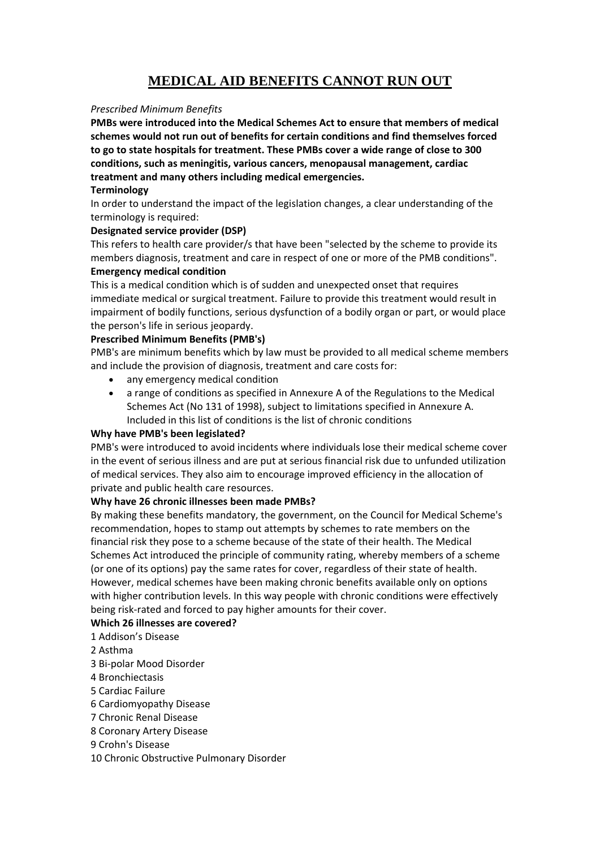# **MEDICAL AID BENEFITS CANNOT RUN OUT**

### *Prescribed Minimum Benefits*

**PMBs were introduced into the Medical Schemes Act to ensure that members of medical schemes would not run out of benefits for certain conditions and find themselves forced to go to state hospitals for treatment. These PMBs cover a wide range of close to 300 conditions, such as meningitis, various cancers, menopausal management, cardiac treatment and many others including medical emergencies.**

## **Terminology**

In order to understand the impact of the legislation changes, a clear understanding of the terminology is required:

## **Designated service provider (DSP)**

This refers to health care provider/s that have been "selected by the scheme to provide its members diagnosis, treatment and care in respect of one or more of the PMB conditions". **Emergency medical condition**

This is a medical condition which is of sudden and unexpected onset that requires immediate medical or surgical treatment. Failure to provide this treatment would result in impairment of bodily functions, serious dysfunction of a bodily organ or part, or would place the person's life in serious jeopardy.

## **Prescribed Minimum Benefits (PMB's)**

PMB's are minimum benefits which by law must be provided to all medical scheme members and include the provision of diagnosis, treatment and care costs for:

- any emergency medical condition
- a range of conditions as specified in Annexure A of the Regulations to the Medical Schemes Act (No 131 of 1998), subject to limitations specified in Annexure A. Included in this list of conditions is the list of chronic conditions

#### **Why have PMB's been legislated?**

PMB's were introduced to avoid incidents where individuals lose their medical scheme cover in the event of serious illness and are put at serious financial risk due to unfunded utilization of medical services. They also aim to encourage improved efficiency in the allocation of private and public health care resources.

#### **Why have 26 chronic illnesses been made PMBs?**

By making these benefits mandatory, the government, on the Council for Medical Scheme's recommendation, hopes to stamp out attempts by schemes to rate members on the financial risk they pose to a scheme because of the state of their health. The Medical Schemes Act introduced the principle of community rating, whereby members of a scheme (or one of its options) pay the same rates for cover, regardless of their state of health. However, medical schemes have been making chronic benefits available only on options with higher contribution levels. In this way people with chronic conditions were effectively being risk-rated and forced to pay higher amounts for their cover.

#### **Which 26 illnesses are covered?**

- 1 Addison's Disease
- 2 Asthma
- 3 Bi-polar Mood Disorder
- 4 Bronchiectasis
- 5 Cardiac Failure
- 6 Cardiomyopathy Disease
- 7 Chronic Renal Disease
- 8 Coronary Artery Disease
- 9 Crohn's Disease
- 10 Chronic Obstructive Pulmonary Disorder